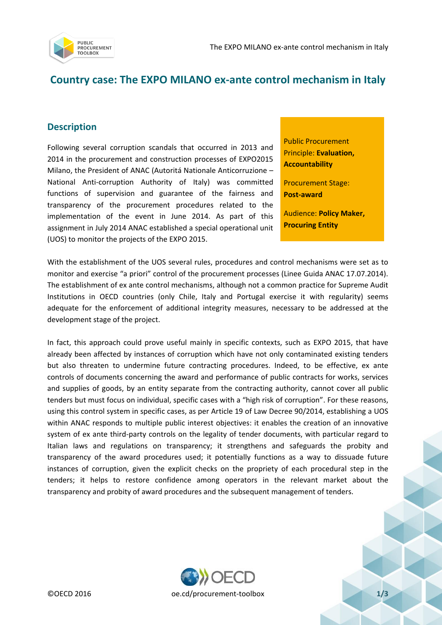

## **Country case: The EXPO MILANO ex-ante control mechanism in Italy**

## **Description**

Following several corruption scandals that occurred in 2013 and 2014 in the procurement and construction processes of EXPO2015 Milano, the President of ANAC (Autoritá Nationale Anticorruzione – National Anti-corruption Authority of Italy) was committed functions of supervision and guarantee of the fairness and transparency of the procurement procedures related to the implementation of the event in June 2014. As part of this assignment in July 2014 ANAC established a special operational unit (UOS) to monitor the projects of the EXPO 2015.

Public Procurement Principle: **Evaluation, Accountability**

Procurement Stage: **Post-award**

Audience: **Policy Maker, Procuring Entity**

With the establishment of the UOS several rules, procedures and control mechanisms were set as to monitor and exercise "a priori" control of the procurement processes (Linee Guida ANAC 17.07.2014). The establishment of ex ante control mechanisms, although not a common practice for Supreme Audit Institutions in OECD countries (only Chile, Italy and Portugal exercise it with regularity) seems adequate for the enforcement of additional integrity measures, necessary to be addressed at the development stage of the project.

In fact, this approach could prove useful mainly in specific contexts, such as EXPO 2015, that have already been affected by instances of corruption which have not only contaminated existing tenders but also threaten to undermine future contracting procedures. Indeed, to be effective, ex ante controls of documents concerning the award and performance of public contracts for works, services and supplies of goods, by an entity separate from the contracting authority, cannot cover all public tenders but must focus on individual, specific cases with a "high risk of corruption". For these reasons, using this control system in specific cases, as per Article 19 of Law Decree 90/2014, establishing a UOS within ANAC responds to multiple public interest objectives: it enables the creation of an innovative system of ex ante third-party controls on the legality of tender documents, with particular regard to Italian laws and regulations on transparency; it strengthens and safeguards the probity and transparency of the award procedures used; it potentially functions as a way to dissuade future instances of corruption, given the explicit checks on the propriety of each procedural step in the tenders; it helps to restore confidence among operators in the relevant market about the transparency and probity of award procedures and the subsequent management of tenders.

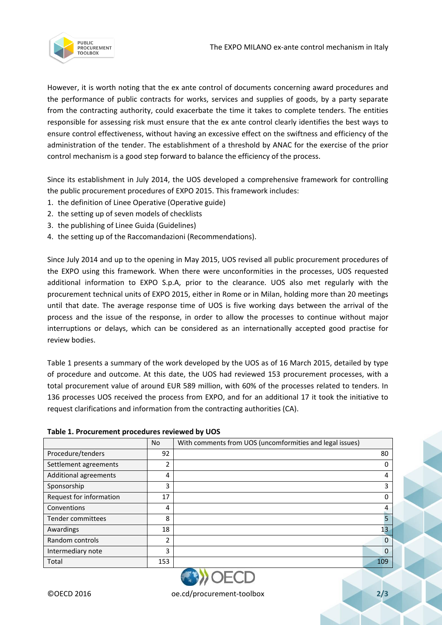

However, it is worth noting that the ex ante control of documents concerning award procedures and the performance of public contracts for works, services and supplies of goods, by a party separate from the contracting authority, could exacerbate the time it takes to complete tenders. The entities responsible for assessing risk must ensure that the ex ante control clearly identifies the best ways to ensure control effectiveness, without having an excessive effect on the swiftness and efficiency of the administration of the tender. The establishment of a threshold by ANAC for the exercise of the prior control mechanism is a good step forward to balance the efficiency of the process.

Since its establishment in July 2014, the UOS developed a comprehensive framework for controlling the public procurement procedures of EXPO 2015. This framework includes:

- 1. the definition of Linee Operative (Operative guide)
- 2. the setting up of seven models of checklists
- 3. the publishing of Linee Guida (Guidelines)
- 4. the setting up of the Raccomandazioni (Recommendations).

Since July 2014 and up to the opening in May 2015, UOS revised all public procurement procedures of the EXPO using this framework. When there were unconformities in the processes, UOS requested additional information to EXPO S.p.A, prior to the clearance. UOS also met regularly with the procurement technical units of EXPO 2015, either in Rome or in Milan, holding more than 20 meetings until that date. The average response time of UOS is five working days between the arrival of the process and the issue of the response, in order to allow the processes to continue without major interruptions or delays, which can be considered as an internationally accepted good practise for review bodies.

Table 1 presents a summary of the work developed by the UOS as of 16 March 2015, detailed by type of procedure and outcome. At this date, the UOS had reviewed 153 procurement processes, with a total procurement value of around EUR 589 million, with 60% of the processes related to tenders. In 136 processes UOS received the process from EXPO, and for an additional 17 it took the initiative to request clarifications and information from the contracting authorities (CA).

|                         | N <sub>o</sub> | With comments from UOS (uncomformities and legal issues) |
|-------------------------|----------------|----------------------------------------------------------|
| Procedure/tenders       | 92             | 80                                                       |
| Settlement agreements   | 2              | 0                                                        |
| Additional agreements   | 4              | 4                                                        |
| Sponsorship             | 3              | 3                                                        |
| Request for information | 17             | 0                                                        |
| Conventions             | 4              | 4                                                        |
| Tender committees       | 8              | 5                                                        |
| Awardings               | 18             | 13 <sub>1</sub>                                          |
| Random controls         | $\mathfrak z$  | $\Omega$                                                 |
| Intermediary note       | 3              | $\Omega$                                                 |
| <b>Total</b>            | 153            | 109                                                      |

## **Table 1. Procurement procedures reviewed by UOS**